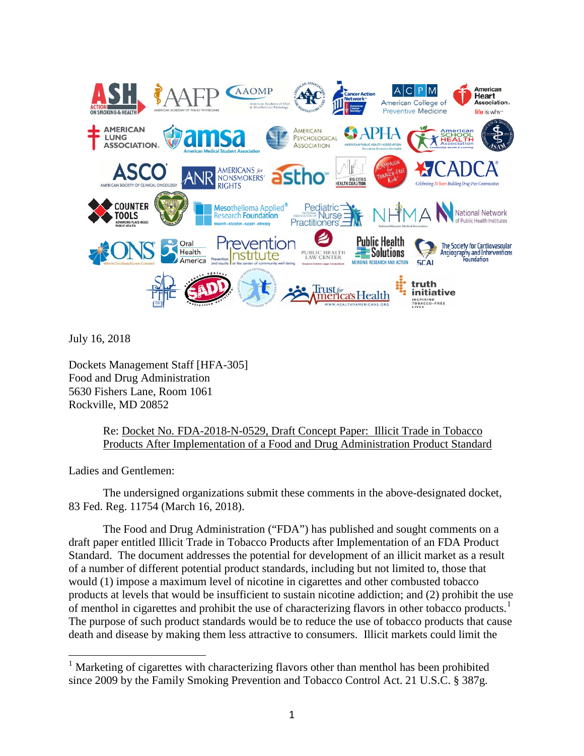

July 16, 2018

Dockets Management Staff [HFA-305] Food and Drug Administration 5630 Fishers Lane, Room 1061 Rockville, MD 20852

> Re: Docket No. FDA-2018-N-0529, Draft Concept Paper: Illicit Trade in Tobacco Products After Implementation of a Food and Drug Administration Product Standard

Ladies and Gentlemen:

The undersigned organizations submit these comments in the above-designated docket, 83 Fed. Reg. 11754 (March 16, 2018).

The Food and Drug Administration ("FDA") has published and sought comments on a draft paper entitled Illicit Trade in Tobacco Products after Implementation of an FDA Product Standard. The document addresses the potential for development of an illicit market as a result of a number of different potential product standards, including but not limited to, those that would (1) impose a maximum level of nicotine in cigarettes and other combusted tobacco products at levels that would be insufficient to sustain nicotine addiction; and (2) prohibit the use of menthol in cigarettes and prohibit the use of characterizing flavors in other tobacco products.<sup>[1](#page-0-0)</sup> The purpose of such product standards would be to reduce the use of tobacco products that cause death and disease by making them less attractive to consumers. Illicit markets could limit the

<span id="page-0-0"></span><sup>&</sup>lt;sup>1</sup> Marketing of cigarettes with characterizing flavors other than menthol has been prohibited since 2009 by the Family Smoking Prevention and Tobacco Control Act. 21 U.S.C. § 387g.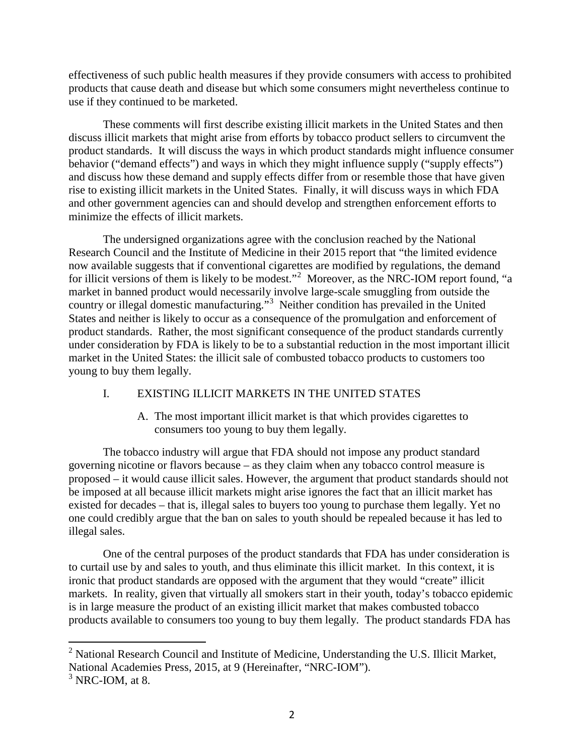effectiveness of such public health measures if they provide consumers with access to prohibited products that cause death and disease but which some consumers might nevertheless continue to use if they continued to be marketed.

These comments will first describe existing illicit markets in the United States and then discuss illicit markets that might arise from efforts by tobacco product sellers to circumvent the product standards. It will discuss the ways in which product standards might influence consumer behavior ("demand effects") and ways in which they might influence supply ("supply effects") and discuss how these demand and supply effects differ from or resemble those that have given rise to existing illicit markets in the United States. Finally, it will discuss ways in which FDA and other government agencies can and should develop and strengthen enforcement efforts to minimize the effects of illicit markets.

The undersigned organizations agree with the conclusion reached by the National Research Council and the Institute of Medicine in their 2015 report that "the limited evidence now available suggests that if conventional cigarettes are modified by regulations, the demand for illicit versions of them is likely to be modest."<sup>[2](#page-1-0)</sup> Moreover, as the NRC-IOM report found, "a market in banned product would necessarily involve large-scale smuggling from outside the country or illegal domestic manufacturing."<sup>[3](#page-1-1)</sup> Neither condition has prevailed in the United States and neither is likely to occur as a consequence of the promulgation and enforcement of product standards. Rather, the most significant consequence of the product standards currently under consideration by FDA is likely to be to a substantial reduction in the most important illicit market in the United States: the illicit sale of combusted tobacco products to customers too young to buy them legally.

# I. EXISTING ILLICIT MARKETS IN THE UNITED STATES

A. The most important illicit market is that which provides cigarettes to consumers too young to buy them legally.

The tobacco industry will argue that FDA should not impose any product standard governing nicotine or flavors because – as they claim when any tobacco control measure is proposed – it would cause illicit sales. However, the argument that product standards should not be imposed at all because illicit markets might arise ignores the fact that an illicit market has existed for decades – that is, illegal sales to buyers too young to purchase them legally. Yet no one could credibly argue that the ban on sales to youth should be repealed because it has led to illegal sales.

One of the central purposes of the product standards that FDA has under consideration is to curtail use by and sales to youth, and thus eliminate this illicit market. In this context, it is ironic that product standards are opposed with the argument that they would "create" illicit markets. In reality, given that virtually all smokers start in their youth, today's tobacco epidemic is in large measure the product of an existing illicit market that makes combusted tobacco products available to consumers too young to buy them legally. The product standards FDA has

<span id="page-1-0"></span> $2$  National Research Council and Institute of Medicine, Understanding the U.S. Illicit Market, National Academies Press, 2015, at 9 (Hereinafter, "NRC-IOM").

<span id="page-1-1"></span> $3$  NRC-IOM, at 8.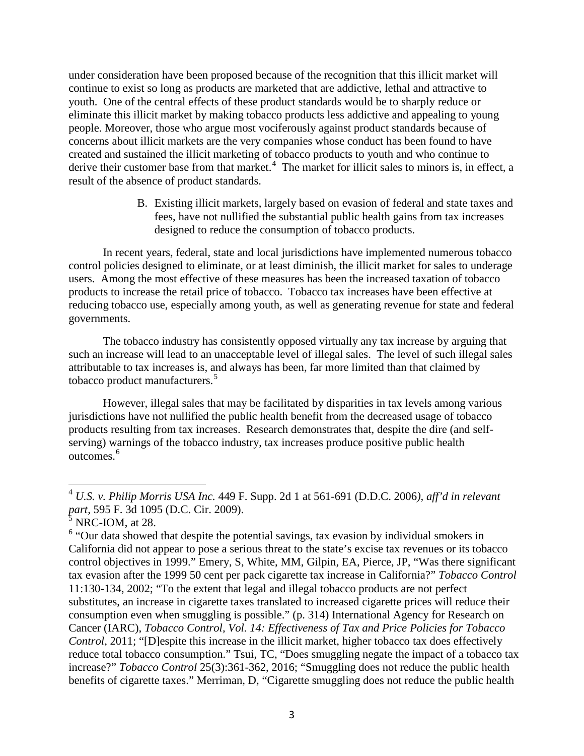under consideration have been proposed because of the recognition that this illicit market will continue to exist so long as products are marketed that are addictive, lethal and attractive to youth. One of the central effects of these product standards would be to sharply reduce or eliminate this illicit market by making tobacco products less addictive and appealing to young people. Moreover, those who argue most vociferously against product standards because of concerns about illicit markets are the very companies whose conduct has been found to have created and sustained the illicit marketing of tobacco products to youth and who continue to derive their customer base from that market.<sup>[4](#page-2-0)</sup> The market for illicit sales to minors is, in effect, a result of the absence of product standards.

> B. Existing illicit markets, largely based on evasion of federal and state taxes and fees, have not nullified the substantial public health gains from tax increases designed to reduce the consumption of tobacco products.

In recent years, federal, state and local jurisdictions have implemented numerous tobacco control policies designed to eliminate, or at least diminish, the illicit market for sales to underage users. Among the most effective of these measures has been the increased taxation of tobacco products to increase the retail price of tobacco. Tobacco tax increases have been effective at reducing tobacco use, especially among youth, as well as generating revenue for state and federal governments.

The tobacco industry has consistently opposed virtually any tax increase by arguing that such an increase will lead to an unacceptable level of illegal sales. The level of such illegal sales attributable to tax increases is, and always has been, far more limited than that claimed by tobacco product manufacturers.<sup>[5](#page-2-1)</sup>

However, illegal sales that may be facilitated by disparities in tax levels among various jurisdictions have not nullified the public health benefit from the decreased usage of tobacco products resulting from tax increases. Research demonstrates that, despite the dire (and selfserving) warnings of the tobacco industry, tax increases produce positive public health outcomes.<sup>[6](#page-2-2)</sup>

<span id="page-2-0"></span><sup>4</sup> *U.S. v. Philip Morris USA Inc.* 449 F. Supp. 2d 1 at 561-691 (D.D.C. 2006*), aff'd in relevant part,* 595 F. 3d 1095 (D.C. Cir. 2009).

 $5$  NRC-IOM, at 28.

<span id="page-2-2"></span><span id="page-2-1"></span><sup>&</sup>lt;sup>6</sup> "Our data showed that despite the potential savings, tax evasion by individual smokers in California did not appear to pose a serious threat to the state's excise tax revenues or its tobacco control objectives in 1999." Emery, S, White, MM, Gilpin, EA, Pierce, JP, "Was there significant tax evasion after the 1999 50 cent per pack cigarette tax increase in California?" *Tobacco Control* 11:130-134, 2002; "To the extent that legal and illegal tobacco products are not perfect substitutes, an increase in cigarette taxes translated to increased cigarette prices will reduce their consumption even when smuggling is possible." (p. 314) International Agency for Research on Cancer (IARC), *Tobacco Control, Vol. 14: Effectiveness of Tax and Price Policies for Tobacco Control*, 2011; "[D]espite this increase in the illicit market, higher tobacco tax does effectively reduce total tobacco consumption." Tsui, TC, "Does smuggling negate the impact of a tobacco tax increase?" *Tobacco Control* 25(3):361-362, 2016; "Smuggling does not reduce the public health benefits of cigarette taxes." Merriman, D, "Cigarette smuggling does not reduce the public health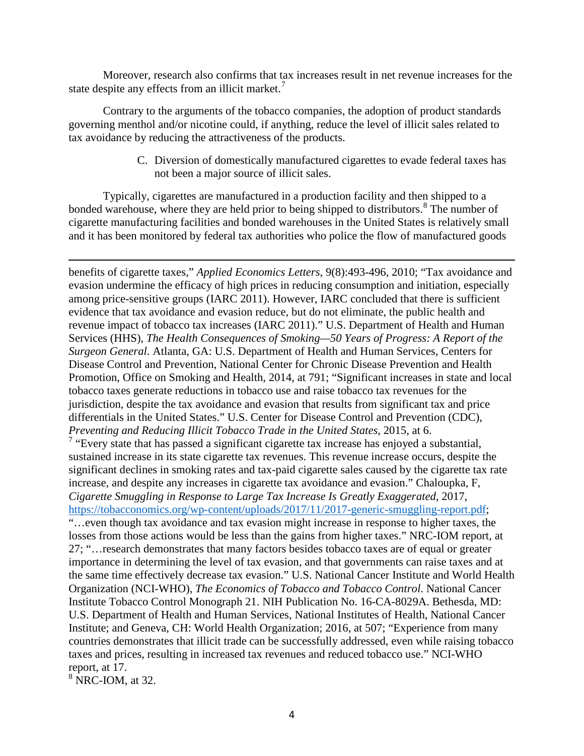Moreover, research also confirms that tax increases result in net revenue increases for the state despite any effects from an illicit market.<sup>[7](#page-3-0)</sup>

Contrary to the arguments of the tobacco companies, the adoption of product standards governing menthol and/or nicotine could, if anything, reduce the level of illicit sales related to tax avoidance by reducing the attractiveness of the products.

> C. Diversion of domestically manufactured cigarettes to evade federal taxes has not been a major source of illicit sales.

Typically, cigarettes are manufactured in a production facility and then shipped to a bonded warehouse, where they are held prior to being shipped to distributors.<sup>[8](#page-3-1)</sup> The number of cigarette manufacturing facilities and bonded warehouses in the United States is relatively small and it has been monitored by federal tax authorities who police the flow of manufactured goods

<span id="page-3-0"></span>benefits of cigarette taxes," *Applied Economics Letters*, 9(8):493-496, 2010; "Tax avoidance and evasion undermine the efficacy of high prices in reducing consumption and initiation, especially among price-sensitive groups (IARC 2011). However, IARC concluded that there is sufficient evidence that tax avoidance and evasion reduce, but do not eliminate, the public health and revenue impact of tobacco tax increases (IARC 2011)." U.S. Department of Health and Human Services (HHS), *The Health Consequences of Smoking—50 Years of Progress: A Report of the Surgeon General.* Atlanta, GA: U.S. Department of Health and Human Services, Centers for Disease Control and Prevention, National Center for Chronic Disease Prevention and Health Promotion, Office on Smoking and Health, 2014, at 791; "Significant increases in state and local tobacco taxes generate reductions in tobacco use and raise tobacco tax revenues for the jurisdiction, despite the tax avoidance and evasion that results from significant tax and price differentials in the United States." U.S. Center for Disease Control and Prevention (CDC), *Preventing and Reducing Illicit Tobacco Trade in the United States*, 2015, at 6. <sup>7</sup> "Every state that has passed a significant cigarette tax increase has enjoyed a substantial, sustained increase in its state cigarette tax revenues. This revenue increase occurs, despite the significant declines in smoking rates and tax-paid cigarette sales caused by the cigarette tax rate increase, and despite any increases in cigarette tax avoidance and evasion." Chaloupka, F, *Cigarette Smuggling in Response to Large Tax Increase Is Greatly Exaggerated*, 2017, [https://tobacconomics.org/wp-content/uploads/2017/11/2017-generic-smuggling-report.pdf;](https://tobacconomics.org/wp-content/uploads/2017/11/2017-generic-smuggling-report.pdf) "…even though tax avoidance and tax evasion might increase in response to higher taxes, the losses from those actions would be less than the gains from higher taxes." NRC-IOM report, at 27; "…research demonstrates that many factors besides tobacco taxes are of equal or greater importance in determining the level of tax evasion, and that governments can raise taxes and at the same time effectively decrease tax evasion." U.S. National Cancer Institute and World Health Organization (NCI-WHO), *The Economics of Tobacco and Tobacco Control*. National Cancer Institute Tobacco Control Monograph 21. NIH Publication No. 16-CA-8029A. Bethesda, MD: U.S. Department of Health and Human Services, National Institutes of Health, National Cancer Institute; and Geneva, CH: World Health Organization; 2016, at 507; "Experience from many countries demonstrates that illicit trade can be successfully addressed, even while raising tobacco taxes and prices, resulting in increased tax revenues and reduced tobacco use." NCI-WHO report, at 17.

<span id="page-3-1"></span> $8$  NRC-IOM, at 32.

 $\overline{a}$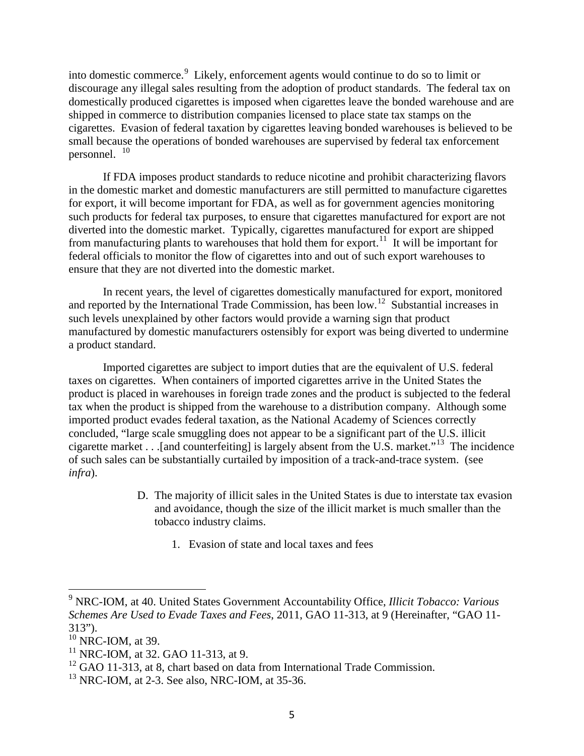into domestic commerce.<sup>[9](#page-4-0)</sup> Likely, enforcement agents would continue to do so to limit or discourage any illegal sales resulting from the adoption of product standards. The federal tax on domestically produced cigarettes is imposed when cigarettes leave the bonded warehouse and are shipped in commerce to distribution companies licensed to place state tax stamps on the cigarettes. Evasion of federal taxation by cigarettes leaving bonded warehouses is believed to be small because the operations of bonded warehouses are supervised by federal tax enforcement personnel. [10](#page-4-1)

If FDA imposes product standards to reduce nicotine and prohibit characterizing flavors in the domestic market and domestic manufacturers are still permitted to manufacture cigarettes for export, it will become important for FDA, as well as for government agencies monitoring such products for federal tax purposes, to ensure that cigarettes manufactured for export are not diverted into the domestic market. Typically, cigarettes manufactured for export are shipped from manufacturing plants to warehouses that hold them for export.<sup>11</sup> It will be important for federal officials to monitor the flow of cigarettes into and out of such export warehouses to ensure that they are not diverted into the domestic market.

In recent years, the level of cigarettes domestically manufactured for export, monitored and reported by the International Trade Commission, has been low.[12](#page-4-3) Substantial increases in such levels unexplained by other factors would provide a warning sign that product manufactured by domestic manufacturers ostensibly for export was being diverted to undermine a product standard.

Imported cigarettes are subject to import duties that are the equivalent of U.S. federal taxes on cigarettes. When containers of imported cigarettes arrive in the United States the product is placed in warehouses in foreign trade zones and the product is subjected to the federal tax when the product is shipped from the warehouse to a distribution company. Although some imported product evades federal taxation, as the National Academy of Sciences correctly concluded, "large scale smuggling does not appear to be a significant part of the U.S. illicit cigarette market . . .[and counterfeiting] is largely absent from the U.S. market."[13](#page-4-4) The incidence of such sales can be substantially curtailed by imposition of a track-and-trace system. (see *infra*).

- D. The majority of illicit sales in the United States is due to interstate tax evasion and avoidance, though the size of the illicit market is much smaller than the tobacco industry claims.
	- 1. Evasion of state and local taxes and fees

<span id="page-4-0"></span><sup>9</sup> NRC-IOM, at 40. United States Government Accountability Office, *Illicit Tobacco: Various Schemes Are Used to Evade Taxes and Fees*, 2011, GAO 11-313, at 9 (Hereinafter, "GAO 11- 313").

<span id="page-4-1"></span> $10$  NRC-IOM, at 39.

<span id="page-4-2"></span> $11$  NRC-IOM, at 32. GAO 11-313, at 9.

<span id="page-4-3"></span><sup>&</sup>lt;sup>12</sup> GAO 11-313, at 8, chart based on data from International Trade Commission.

<span id="page-4-4"></span> $13$  NRC-IOM, at 2-3. See also, NRC-IOM, at 35-36.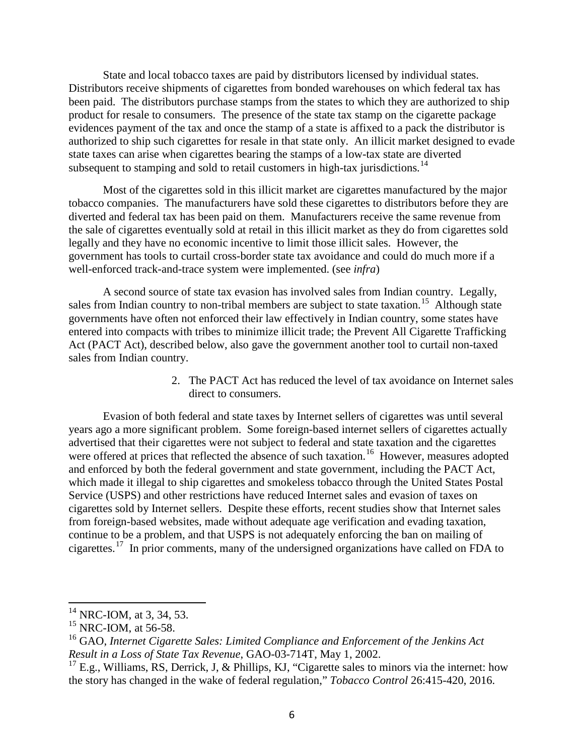State and local tobacco taxes are paid by distributors licensed by individual states. Distributors receive shipments of cigarettes from bonded warehouses on which federal tax has been paid. The distributors purchase stamps from the states to which they are authorized to ship product for resale to consumers. The presence of the state tax stamp on the cigarette package evidences payment of the tax and once the stamp of a state is affixed to a pack the distributor is authorized to ship such cigarettes for resale in that state only. An illicit market designed to evade state taxes can arise when cigarettes bearing the stamps of a low-tax state are diverted subsequent to stamping and sold to retail customers in high-tax jurisdictions.<sup>[14](#page-5-0)</sup>

Most of the cigarettes sold in this illicit market are cigarettes manufactured by the major tobacco companies. The manufacturers have sold these cigarettes to distributors before they are diverted and federal tax has been paid on them. Manufacturers receive the same revenue from the sale of cigarettes eventually sold at retail in this illicit market as they do from cigarettes sold legally and they have no economic incentive to limit those illicit sales. However, the government has tools to curtail cross-border state tax avoidance and could do much more if a well-enforced track-and-trace system were implemented. (see *infra*)

A second source of state tax evasion has involved sales from Indian country. Legally, sales from Indian country to non-tribal members are subject to state taxation.<sup>[15](#page-5-1)</sup> Although state governments have often not enforced their law effectively in Indian country, some states have entered into compacts with tribes to minimize illicit trade; the Prevent All Cigarette Trafficking Act (PACT Act), described below, also gave the government another tool to curtail non-taxed sales from Indian country.

> 2. The PACT Act has reduced the level of tax avoidance on Internet sales direct to consumers.

Evasion of both federal and state taxes by Internet sellers of cigarettes was until several years ago a more significant problem. Some foreign-based internet sellers of cigarettes actually advertised that their cigarettes were not subject to federal and state taxation and the cigarettes were offered at prices that reflected the absence of such taxation.<sup>[16](#page-5-2)</sup> However, measures adopted and enforced by both the federal government and state government, including the PACT Act, which made it illegal to ship cigarettes and smokeless tobacco through the United States Postal Service (USPS) and other restrictions have reduced Internet sales and evasion of taxes on cigarettes sold by Internet sellers. Despite these efforts, recent studies show that Internet sales from foreign-based websites, made without adequate age verification and evading taxation, continue to be a problem, and that USPS is not adequately enforcing the ban on mailing of cigarettes.[17](#page-5-3) In prior comments, many of the undersigned organizations have called on FDA to

<span id="page-5-0"></span> $14$  NRC-IOM, at 3, 34, 53.

<span id="page-5-1"></span> $15$  NRC-IOM, at 56-58.

<span id="page-5-2"></span><sup>16</sup> GAO, *Internet Cigarette Sales: Limited Compliance and Enforcement of the Jenkins Act Result in a Loss of State Tax Revenue*, GAO-03-714T, May 1, 2002.

<span id="page-5-3"></span> $^{17}$  E.g., Williams, RS, Derrick, J, & Phillips, KJ, "Cigarette sales to minors via the internet: how the story has changed in the wake of federal regulation," *Tobacco Control* 26:415-420, 2016.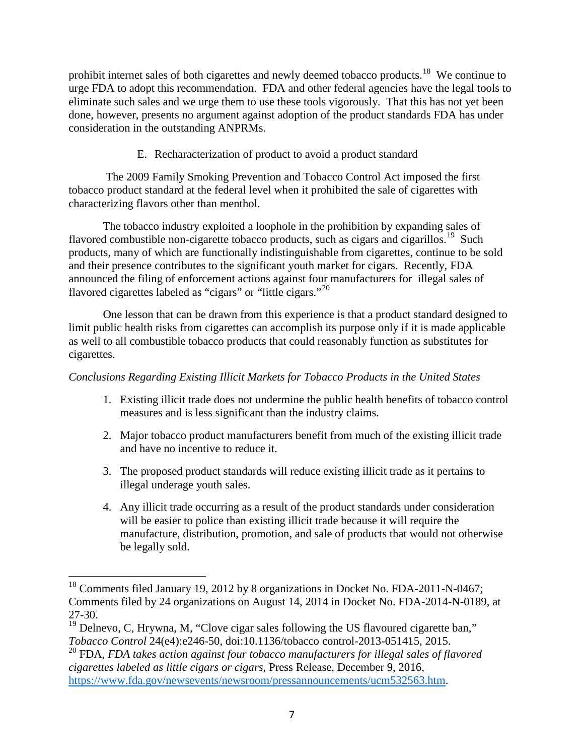prohibit internet sales of both cigarettes and newly deemed tobacco products.<sup>[18](#page-6-0)</sup> We continue to urge FDA to adopt this recommendation. FDA and other federal agencies have the legal tools to eliminate such sales and we urge them to use these tools vigorously. That this has not yet been done, however, presents no argument against adoption of the product standards FDA has under consideration in the outstanding ANPRMs.

E. Recharacterization of product to avoid a product standard

The 2009 Family Smoking Prevention and Tobacco Control Act imposed the first tobacco product standard at the federal level when it prohibited the sale of cigarettes with characterizing flavors other than menthol.

The tobacco industry exploited a loophole in the prohibition by expanding sales of flavored combustible non-cigarette tobacco products, such as cigars and cigarillos.<sup>19</sup> Such products, many of which are functionally indistinguishable from cigarettes, continue to be sold and their presence contributes to the significant youth market for cigars. Recently, FDA announced the filing of enforcement actions against four manufacturers for illegal sales of flavored cigarettes labeled as "cigars" or "little cigars."<sup>[20](#page-6-2)</sup>

One lesson that can be drawn from this experience is that a product standard designed to limit public health risks from cigarettes can accomplish its purpose only if it is made applicable as well to all combustible tobacco products that could reasonably function as substitutes for cigarettes.

# *Conclusions Regarding Existing Illicit Markets for Tobacco Products in the United States*

- 1. Existing illicit trade does not undermine the public health benefits of tobacco control measures and is less significant than the industry claims.
- 2. Major tobacco product manufacturers benefit from much of the existing illicit trade and have no incentive to reduce it.
- 3. The proposed product standards will reduce existing illicit trade as it pertains to illegal underage youth sales.
- 4. Any illicit trade occurring as a result of the product standards under consideration will be easier to police than existing illicit trade because it will require the manufacture, distribution, promotion, and sale of products that would not otherwise be legally sold.

<span id="page-6-0"></span><sup>&</sup>lt;sup>18</sup> Comments filed January 19, 2012 by 8 organizations in Docket No. FDA-2011-N-0467; Comments filed by 24 organizations on August 14, 2014 in Docket No. FDA-2014-N-0189, at 27-30.

<span id="page-6-1"></span> $19$  Delnevo, C, Hrywna, M, "Clove cigar sales following the US flavoured cigarette ban," *Tobacco Control* 24(e4):e246-50, doi:10.1136/tobacco control-2013-051415, 2015.

<span id="page-6-2"></span><sup>20</sup> FDA, *FDA takes action against four tobacco manufacturers for illegal sales of flavored cigarettes labeled as little cigars or cigars*, Press Release, December 9, 2016, [https://www.fda.gov/newsevents/newsroom/pressannouncements/ucm532563.htm.](https://www.fda.gov/newsevents/newsroom/pressannouncements/ucm532563.htm)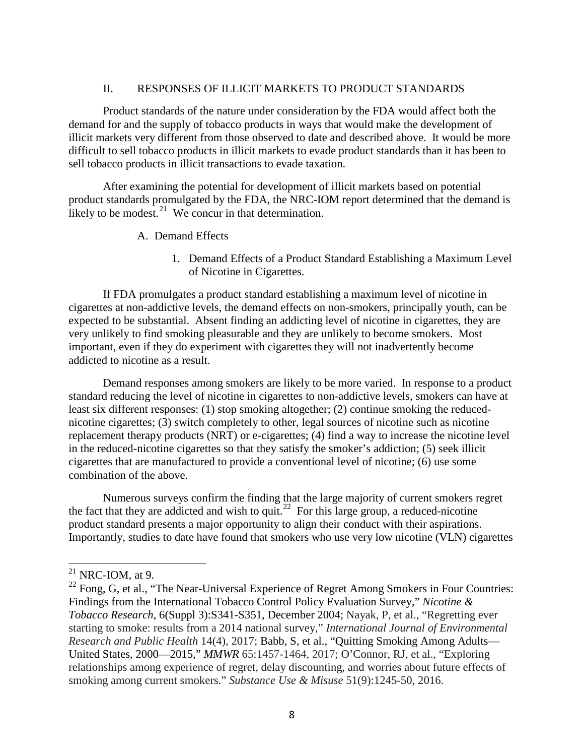### II. RESPONSES OF ILLICIT MARKETS TO PRODUCT STANDARDS

Product standards of the nature under consideration by the FDA would affect both the demand for and the supply of tobacco products in ways that would make the development of illicit markets very different from those observed to date and described above. It would be more difficult to sell tobacco products in illicit markets to evade product standards than it has been to sell tobacco products in illicit transactions to evade taxation.

After examining the potential for development of illicit markets based on potential product standards promulgated by the FDA, the NRC-IOM report determined that the demand is likely to be modest.<sup>[21](#page-7-0)</sup> We concur in that determination.

- A. Demand Effects
	- 1. Demand Effects of a Product Standard Establishing a Maximum Level of Nicotine in Cigarettes.

If FDA promulgates a product standard establishing a maximum level of nicotine in cigarettes at non-addictive levels, the demand effects on non-smokers, principally youth, can be expected to be substantial. Absent finding an addicting level of nicotine in cigarettes, they are very unlikely to find smoking pleasurable and they are unlikely to become smokers. Most important, even if they do experiment with cigarettes they will not inadvertently become addicted to nicotine as a result.

Demand responses among smokers are likely to be more varied. In response to a product standard reducing the level of nicotine in cigarettes to non-addictive levels, smokers can have at least six different responses: (1) stop smoking altogether; (2) continue smoking the reducednicotine cigarettes; (3) switch completely to other, legal sources of nicotine such as nicotine replacement therapy products (NRT) or e-cigarettes; (4) find a way to increase the nicotine level in the reduced-nicotine cigarettes so that they satisfy the smoker's addiction; (5) seek illicit cigarettes that are manufactured to provide a conventional level of nicotine; (6) use some combination of the above.

Numerous surveys confirm the finding that the large majority of current smokers regret the fact that they are addicted and wish to quit.<sup>[22](#page-7-1)</sup> For this large group, a reduced-nicotine product standard presents a major opportunity to align their conduct with their aspirations. Importantly, studies to date have found that smokers who use very low nicotine (VLN) cigarettes

<span id="page-7-0"></span> $21$  NRC-IOM, at 9.

<span id="page-7-1"></span><sup>&</sup>lt;sup>22</sup> Fong, G, et al., "The Near-Universal Experience of Regret Among Smokers in Four Countries: Findings from the International Tobacco Control Policy Evaluation Survey," *Nicotine & Tobacco Research*, 6(Suppl 3):S341-S351, December 2004; Nayak, P, et al., "Regretting ever starting to smoke: results from a 2014 national survey," *International Journal of Environmental Research and Public Health* 14(4), 2017; Babb, S, et al., "Quitting Smoking Among Adults— United States, 2000—2015," *MMWR* 65:1457-1464, 2017; O'Connor, RJ, et al., "Exploring relationships among experience of regret, delay discounting, and worries about future effects of smoking among current smokers." *Substance Use & Misuse* 51(9):1245-50, 2016.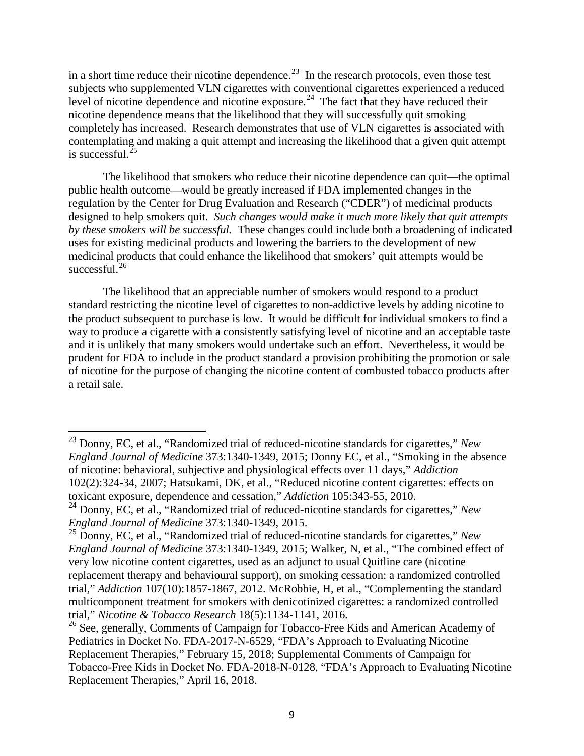in a short time reduce their nicotine dependence.<sup>23</sup> In the research protocols, even those test subjects who supplemented VLN cigarettes with conventional cigarettes experienced a reduced level of nicotine dependence and nicotine exposure.<sup>24</sup> The fact that they have reduced their nicotine dependence means that the likelihood that they will successfully quit smoking completely has increased. Research demonstrates that use of VLN cigarettes is associated with contemplating and making a quit attempt and increasing the likelihood that a given quit attempt is successful. $^{25}$  $^{25}$  $^{25}$ 

The likelihood that smokers who reduce their nicotine dependence can quit—the optimal public health outcome—would be greatly increased if FDA implemented changes in the regulation by the Center for Drug Evaluation and Research ("CDER") of medicinal products designed to help smokers quit. *Such changes would make it much more likely that quit attempts by these smokers will be successful.* These changes could include both a broadening of indicated uses for existing medicinal products and lowering the barriers to the development of new medicinal products that could enhance the likelihood that smokers' quit attempts would be successful. $26$ 

The likelihood that an appreciable number of smokers would respond to a product standard restricting the nicotine level of cigarettes to non-addictive levels by adding nicotine to the product subsequent to purchase is low. It would be difficult for individual smokers to find a way to produce a cigarette with a consistently satisfying level of nicotine and an acceptable taste and it is unlikely that many smokers would undertake such an effort. Nevertheless, it would be prudent for FDA to include in the product standard a provision prohibiting the promotion or sale of nicotine for the purpose of changing the nicotine content of combusted tobacco products after a retail sale.

<span id="page-8-0"></span><sup>23</sup> Donny, EC, et al., "Randomized trial of reduced-nicotine standards for cigarettes," *New England Journal of Medicine* 373:1340-1349, 2015; Donny EC, et al., "Smoking in the absence of nicotine: behavioral, subjective and physiological effects over 11 days," *Addiction* 102(2):324-34, 2007; Hatsukami, DK, et al., "Reduced nicotine content cigarettes: effects on toxicant exposure, dependence and cessation," *Addiction* 105:343-55, 2010.

<span id="page-8-1"></span><sup>24</sup> Donny, EC, et al., "Randomized trial of reduced-nicotine standards for cigarettes," *New England Journal of Medicine* 373:1340-1349, 2015.

<span id="page-8-2"></span><sup>25</sup> Donny, EC, et al., "Randomized trial of reduced-nicotine standards for cigarettes," *New England Journal of Medicine* 373:1340-1349, 2015; Walker, N, et al., "The combined effect of very low nicotine content cigarettes, used as an adjunct to usual Quitline care (nicotine replacement therapy and behavioural support), on smoking cessation: a randomized controlled trial," *Addiction* 107(10):1857-1867, 2012. McRobbie, H, et al., "Complementing the standard multicomponent treatment for smokers with denicotinized cigarettes: a randomized controlled trial," *Nicotine & Tobacco Research* 18(5):1134-1141, 2016.

<span id="page-8-3"></span><sup>&</sup>lt;sup>26</sup> See, generally, Comments of Campaign for Tobacco-Free Kids and American Academy of Pediatrics in Docket No. FDA-2017-N-6529, "FDA's Approach to Evaluating Nicotine Replacement Therapies," February 15, 2018; Supplemental Comments of Campaign for Tobacco-Free Kids in Docket No. FDA-2018-N-0128, "FDA's Approach to Evaluating Nicotine Replacement Therapies," April 16, 2018.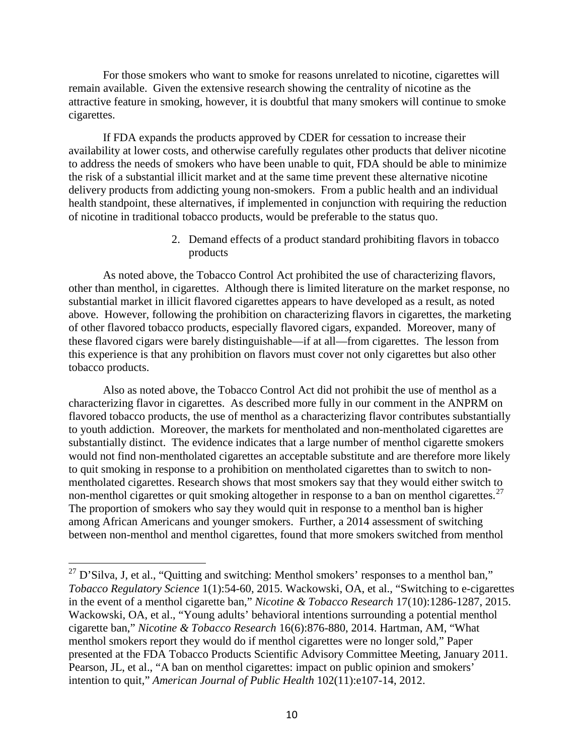For those smokers who want to smoke for reasons unrelated to nicotine, cigarettes will remain available. Given the extensive research showing the centrality of nicotine as the attractive feature in smoking, however, it is doubtful that many smokers will continue to smoke cigarettes.

If FDA expands the products approved by CDER for cessation to increase their availability at lower costs, and otherwise carefully regulates other products that deliver nicotine to address the needs of smokers who have been unable to quit, FDA should be able to minimize the risk of a substantial illicit market and at the same time prevent these alternative nicotine delivery products from addicting young non-smokers. From a public health and an individual health standpoint, these alternatives, if implemented in conjunction with requiring the reduction of nicotine in traditional tobacco products, would be preferable to the status quo.

> 2. Demand effects of a product standard prohibiting flavors in tobacco products

As noted above, the Tobacco Control Act prohibited the use of characterizing flavors, other than menthol, in cigarettes. Although there is limited literature on the market response, no substantial market in illicit flavored cigarettes appears to have developed as a result, as noted above. However, following the prohibition on characterizing flavors in cigarettes, the marketing of other flavored tobacco products, especially flavored cigars, expanded. Moreover, many of these flavored cigars were barely distinguishable—if at all—from cigarettes. The lesson from this experience is that any prohibition on flavors must cover not only cigarettes but also other tobacco products.

Also as noted above, the Tobacco Control Act did not prohibit the use of menthol as a characterizing flavor in cigarettes. As described more fully in our comment in the ANPRM on flavored tobacco products, the use of menthol as a characterizing flavor contributes substantially to youth addiction. Moreover, the markets for mentholated and non-mentholated cigarettes are substantially distinct. The evidence indicates that a large number of menthol cigarette smokers would not find non-mentholated cigarettes an acceptable substitute and are therefore more likely to quit smoking in response to a prohibition on mentholated cigarettes than to switch to nonmentholated cigarettes. Research shows that most smokers say that they would either switch to non-menthol cigarettes or quit smoking altogether in response to a ban on menthol cigarettes.<sup>[27](#page-9-0)</sup> The proportion of smokers who say they would quit in response to a menthol ban is higher among African Americans and younger smokers. Further, a 2014 assessment of switching between non-menthol and menthol cigarettes, found that more smokers switched from menthol

<span id="page-9-0"></span> $27$  D'Silva, J, et al., "Quitting and switching: Menthol smokers' responses to a menthol ban," *Tobacco Regulatory Science* 1(1):54-60, 2015. Wackowski, OA, et al., "Switching to e-cigarettes in the event of a menthol cigarette ban," *Nicotine & Tobacco Research* 17(10):1286-1287, 2015. Wackowski, OA, et al., "Young adults' behavioral intentions surrounding a potential menthol cigarette ban," *Nicotine & Tobacco Research* 16(6):876-880, 2014. Hartman, AM, "What menthol smokers report they would do if menthol cigarettes were no longer sold," Paper presented at the FDA Tobacco Products Scientific Advisory Committee Meeting, January 2011. Pearson, JL, et al., "A ban on menthol cigarettes: impact on public opinion and smokers' intention to quit," *American Journal of Public Health* 102(11):e107-14, 2012.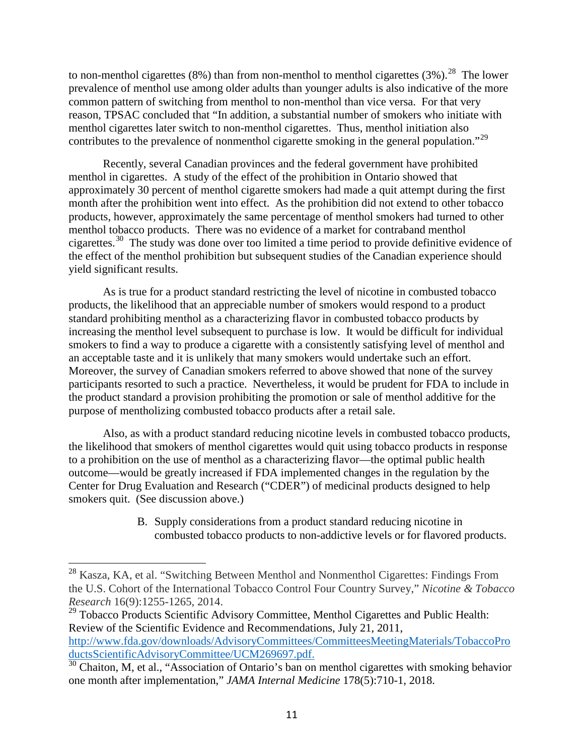to non-menthol cigarettes (8%) than from non-menthol to menthol cigarettes (3%).<sup>[28](#page-10-0)</sup> The lower prevalence of menthol use among older adults than younger adults is also indicative of the more common pattern of switching from menthol to non-menthol than vice versa. For that very reason, TPSAC concluded that "In addition, a substantial number of smokers who initiate with menthol cigarettes later switch to non-menthol cigarettes. Thus, menthol initiation also contributes to the prevalence of nonmenthol cigarette smoking in the general population."<sup>[29](#page-10-1)</sup>

Recently, several Canadian provinces and the federal government have prohibited menthol in cigarettes. A study of the effect of the prohibition in Ontario showed that approximately 30 percent of menthol cigarette smokers had made a quit attempt during the first month after the prohibition went into effect. As the prohibition did not extend to other tobacco products, however, approximately the same percentage of menthol smokers had turned to other menthol tobacco products. There was no evidence of a market for contraband menthol cigarettes.[30](#page-10-2) The study was done over too limited a time period to provide definitive evidence of the effect of the menthol prohibition but subsequent studies of the Canadian experience should yield significant results.

As is true for a product standard restricting the level of nicotine in combusted tobacco products, the likelihood that an appreciable number of smokers would respond to a product standard prohibiting menthol as a characterizing flavor in combusted tobacco products by increasing the menthol level subsequent to purchase is low. It would be difficult for individual smokers to find a way to produce a cigarette with a consistently satisfying level of menthol and an acceptable taste and it is unlikely that many smokers would undertake such an effort. Moreover, the survey of Canadian smokers referred to above showed that none of the survey participants resorted to such a practice. Nevertheless, it would be prudent for FDA to include in the product standard a provision prohibiting the promotion or sale of menthol additive for the purpose of mentholizing combusted tobacco products after a retail sale.

Also, as with a product standard reducing nicotine levels in combusted tobacco products, the likelihood that smokers of menthol cigarettes would quit using tobacco products in response to a prohibition on the use of menthol as a characterizing flavor—the optimal public health outcome—would be greatly increased if FDA implemented changes in the regulation by the Center for Drug Evaluation and Research ("CDER") of medicinal products designed to help smokers quit. (See discussion above.)

> B. Supply considerations from a product standard reducing nicotine in combusted tobacco products to non-addictive levels or for flavored products.

<span id="page-10-0"></span><sup>28</sup> Kasza, KA, et al. "Switching Between Menthol and Nonmenthol Cigarettes: Findings From the U.S. Cohort of the International Tobacco Control Four Country Survey," *Nicotine & Tobacco Research* 16(9):1255-1265, 2014.

<span id="page-10-1"></span> $29$  Tobacco Products Scientific Advisory Committee, Menthol Cigarettes and Public Health: Review of the Scientific Evidence and Recommendations, July 21, 2011, [http://www.fda.gov/downloads/AdvisoryCommittees/CommitteesMeetingMaterials/TobaccoPro](http://www.fda.gov/downloads/AdvisoryCommittees/CommitteesMeetingMaterials/TobaccoProductsScientificAdvisoryCommittee/UCM269697.pdf) [ductsScientificAdvisoryCommittee/UCM269697.pdf.](http://www.fda.gov/downloads/AdvisoryCommittees/CommitteesMeetingMaterials/TobaccoProductsScientificAdvisoryCommittee/UCM269697.pdf)<br><sup>[30](http://www.fda.gov/downloads/AdvisoryCommittees/CommitteesMeetingMaterials/TobaccoProductsScientificAdvisoryCommittee/UCM269697.pdf)</sup> Chaiton, M, et al., "Association of Ontario's ban on menthol cigarettes with smoking behavior

<span id="page-10-2"></span>one month after implementation," *JAMA Internal Medicine* 178(5):710-1, 2018.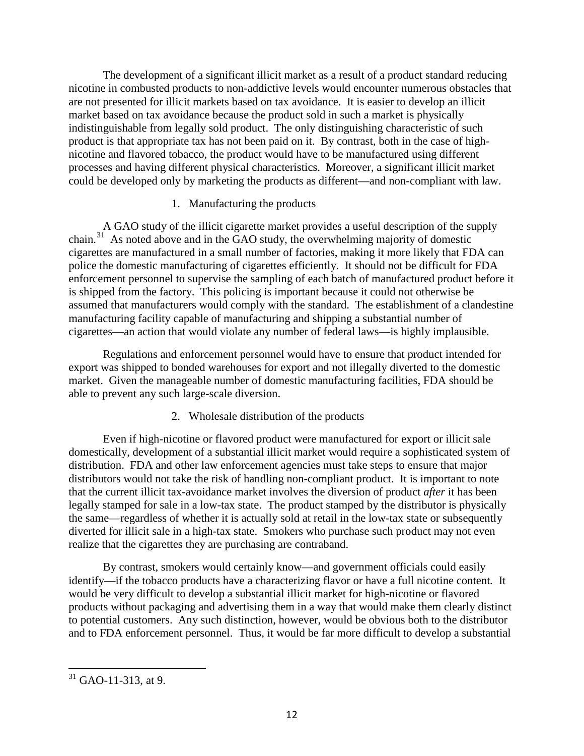The development of a significant illicit market as a result of a product standard reducing nicotine in combusted products to non-addictive levels would encounter numerous obstacles that are not presented for illicit markets based on tax avoidance. It is easier to develop an illicit market based on tax avoidance because the product sold in such a market is physically indistinguishable from legally sold product. The only distinguishing characteristic of such product is that appropriate tax has not been paid on it. By contrast, both in the case of highnicotine and flavored tobacco, the product would have to be manufactured using different processes and having different physical characteristics. Moreover, a significant illicit market could be developed only by marketing the products as different—and non-compliant with law.

## 1. Manufacturing the products

A GAO study of the illicit cigarette market provides a useful description of the supply chain. $31$  As noted above and in the GAO study, the overwhelming majority of domestic cigarettes are manufactured in a small number of factories, making it more likely that FDA can police the domestic manufacturing of cigarettes efficiently. It should not be difficult for FDA enforcement personnel to supervise the sampling of each batch of manufactured product before it is shipped from the factory. This policing is important because it could not otherwise be assumed that manufacturers would comply with the standard. The establishment of a clandestine manufacturing facility capable of manufacturing and shipping a substantial number of cigarettes—an action that would violate any number of federal laws—is highly implausible.

Regulations and enforcement personnel would have to ensure that product intended for export was shipped to bonded warehouses for export and not illegally diverted to the domestic market. Given the manageable number of domestic manufacturing facilities, FDA should be able to prevent any such large-scale diversion.

# 2. Wholesale distribution of the products

Even if high-nicotine or flavored product were manufactured for export or illicit sale domestically, development of a substantial illicit market would require a sophisticated system of distribution. FDA and other law enforcement agencies must take steps to ensure that major distributors would not take the risk of handling non-compliant product. It is important to note that the current illicit tax-avoidance market involves the diversion of product *after* it has been legally stamped for sale in a low-tax state. The product stamped by the distributor is physically the same—regardless of whether it is actually sold at retail in the low-tax state or subsequently diverted for illicit sale in a high-tax state. Smokers who purchase such product may not even realize that the cigarettes they are purchasing are contraband.

By contrast, smokers would certainly know—and government officials could easily identify—if the tobacco products have a characterizing flavor or have a full nicotine content*.* It would be very difficult to develop a substantial illicit market for high-nicotine or flavored products without packaging and advertising them in a way that would make them clearly distinct to potential customers. Any such distinction, however, would be obvious both to the distributor and to FDA enforcement personnel. Thus, it would be far more difficult to develop a substantial

<span id="page-11-0"></span><sup>&</sup>lt;sup>31</sup> GAO-11-313, at 9.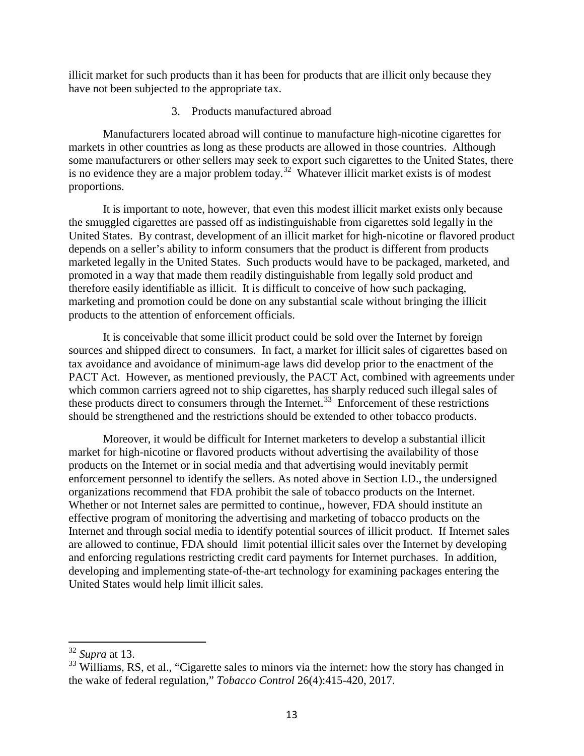illicit market for such products than it has been for products that are illicit only because they have not been subjected to the appropriate tax.

#### 3. Products manufactured abroad

Manufacturers located abroad will continue to manufacture high-nicotine cigarettes for markets in other countries as long as these products are allowed in those countries. Although some manufacturers or other sellers may seek to export such cigarettes to the United States, there is no evidence they are a major problem today.<sup>32</sup> Whatever illicit market exists is of modest proportions.

It is important to note, however, that even this modest illicit market exists only because the smuggled cigarettes are passed off as indistinguishable from cigarettes sold legally in the United States. By contrast, development of an illicit market for high-nicotine or flavored product depends on a seller's ability to inform consumers that the product is different from products marketed legally in the United States. Such products would have to be packaged, marketed, and promoted in a way that made them readily distinguishable from legally sold product and therefore easily identifiable as illicit. It is difficult to conceive of how such packaging, marketing and promotion could be done on any substantial scale without bringing the illicit products to the attention of enforcement officials.

It is conceivable that some illicit product could be sold over the Internet by foreign sources and shipped direct to consumers. In fact, a market for illicit sales of cigarettes based on tax avoidance and avoidance of minimum-age laws did develop prior to the enactment of the PACT Act. However, as mentioned previously, the PACT Act, combined with agreements under which common carriers agreed not to ship cigarettes, has sharply reduced such illegal sales of these products direct to consumers through the Internet. [33](#page-12-1) Enforcement of these restrictions should be strengthened and the restrictions should be extended to other tobacco products.

Moreover, it would be difficult for Internet marketers to develop a substantial illicit market for high-nicotine or flavored products without advertising the availability of those products on the Internet or in social media and that advertising would inevitably permit enforcement personnel to identify the sellers. As noted above in Section I.D., the undersigned organizations recommend that FDA prohibit the sale of tobacco products on the Internet. Whether or not Internet sales are permitted to continue,, however, FDA should institute an effective program of monitoring the advertising and marketing of tobacco products on the Internet and through social media to identify potential sources of illicit product. If Internet sales are allowed to continue, FDA should limit potential illicit sales over the Internet by developing and enforcing regulations restricting credit card payments for Internet purchases. In addition, developing and implementing state-of-the-art technology for examining packages entering the United States would help limit illicit sales.

<span id="page-12-0"></span><sup>32</sup> *Supra* at 13.

<span id="page-12-1"></span><sup>&</sup>lt;sup>33</sup> Williams, RS, et al., "Cigarette sales to minors via the internet: how the story has changed in the wake of federal regulation," *Tobacco Control* 26(4):415-420, 2017.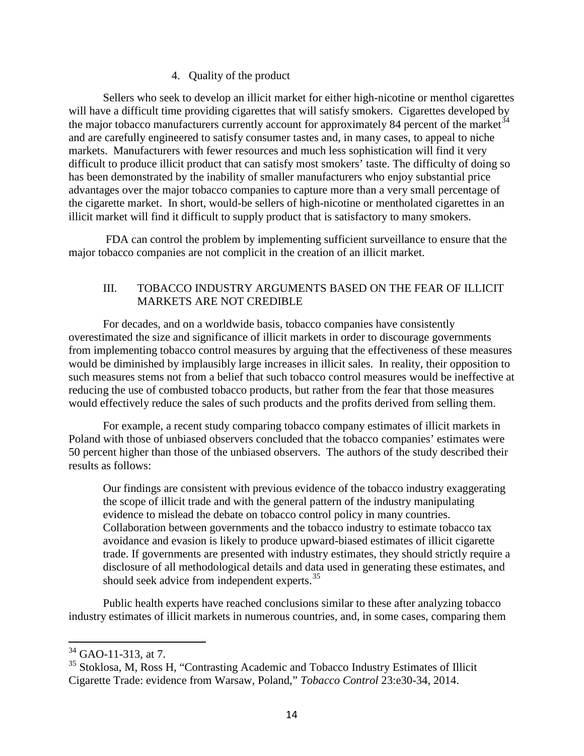### 4. Quality of the product

Sellers who seek to develop an illicit market for either high-nicotine or menthol cigarettes will have a difficult time providing cigarettes that will satisfy smokers. Cigarettes developed by the major tobacco manufacturers currently account for approximately 84 percent of the market  $34$ and are carefully engineered to satisfy consumer tastes and, in many cases, to appeal to niche markets. Manufacturers with fewer resources and much less sophistication will find it very difficult to produce illicit product that can satisfy most smokers' taste. The difficulty of doing so has been demonstrated by the inability of smaller manufacturers who enjoy substantial price advantages over the major tobacco companies to capture more than a very small percentage of the cigarette market. In short, would-be sellers of high-nicotine or mentholated cigarettes in an illicit market will find it difficult to supply product that is satisfactory to many smokers.

FDA can control the problem by implementing sufficient surveillance to ensure that the major tobacco companies are not complicit in the creation of an illicit market.

# III. TOBACCO INDUSTRY ARGUMENTS BASED ON THE FEAR OF ILLICIT MARKETS ARE NOT CREDIBLE

For decades, and on a worldwide basis, tobacco companies have consistently overestimated the size and significance of illicit markets in order to discourage governments from implementing tobacco control measures by arguing that the effectiveness of these measures would be diminished by implausibly large increases in illicit sales. In reality, their opposition to such measures stems not from a belief that such tobacco control measures would be ineffective at reducing the use of combusted tobacco products, but rather from the fear that those measures would effectively reduce the sales of such products and the profits derived from selling them.

For example, a recent study comparing tobacco company estimates of illicit markets in Poland with those of unbiased observers concluded that the tobacco companies' estimates were 50 percent higher than those of the unbiased observers. The authors of the study described their results as follows:

Our findings are consistent with previous evidence of the tobacco industry exaggerating the scope of illicit trade and with the general pattern of the industry manipulating evidence to mislead the debate on tobacco control policy in many countries. Collaboration between governments and the tobacco industry to estimate tobacco tax avoidance and evasion is likely to produce upward-biased estimates of illicit cigarette trade. If governments are presented with industry estimates, they should strictly require a disclosure of all methodological details and data used in generating these estimates, and should seek advice from independent experts.<sup>[35](#page-13-1)</sup>

Public health experts have reached conclusions similar to these after analyzing tobacco industry estimates of illicit markets in numerous countries, and, in some cases, comparing them

<span id="page-13-0"></span><sup>&</sup>lt;sup>34</sup> GAO-11-313, at 7.

<span id="page-13-1"></span><sup>&</sup>lt;sup>35</sup> Stoklosa, M, Ross H, "Contrasting Academic and Tobacco Industry Estimates of Illicit Cigarette Trade: evidence from Warsaw, Poland," *Tobacco Control* 23:e30-34, 2014.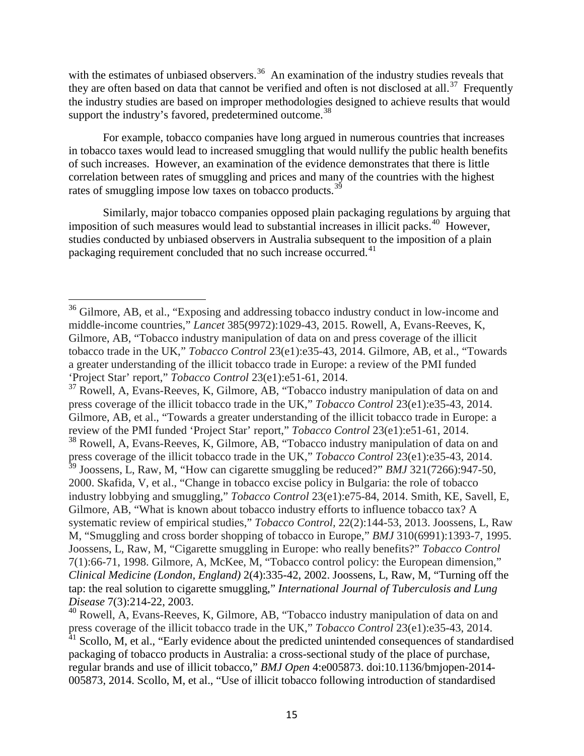with the estimates of unbiased observers.<sup>36</sup> An examination of the industry studies reveals that they are often based on data that cannot be verified and often is not disclosed at all.<sup>[37](#page-14-1)</sup> Frequently the industry studies are based on improper methodologies designed to achieve results that would support the industry's favored, predetermined outcome.<sup>[38](#page-14-2)</sup>

For example, tobacco companies have long argued in numerous countries that increases in tobacco taxes would lead to increased smuggling that would nullify the public health benefits of such increases. However, an examination of the evidence demonstrates that there is little correlation between rates of smuggling and prices and many of the countries with the highest rates of smuggling impose low taxes on tobacco products.<sup>[39](#page-14-3)</sup>

Similarly, major tobacco companies opposed plain packaging regulations by arguing that imposition of such measures would lead to substantial increases in illicit packs.<sup>[40](#page-14-4)</sup> However, studies conducted by unbiased observers in Australia subsequent to the imposition of a plain packaging requirement concluded that no such increase occurred.<sup>[41](#page-14-5)</sup>

<span id="page-14-0"></span><sup>&</sup>lt;sup>36</sup> Gilmore, AB, et al., "Exposing and addressing tobacco industry conduct in low-income and middle-income countries," *Lancet* 385(9972):1029-43, 2015. Rowell, A, Evans-Reeves, K, Gilmore, AB, "Tobacco industry manipulation of data on and press coverage of the illicit tobacco trade in the UK," *Tobacco Control* 23(e1):e35-43, 2014. Gilmore, AB, et al., "Towards a greater understanding of the illicit tobacco trade in Europe: a review of the PMI funded 'Project Star' report," *Tobacco Control* 23(e1):e51-61, 2014.

<span id="page-14-3"></span><span id="page-14-2"></span><span id="page-14-1"></span><sup>&</sup>lt;sup>37</sup> Rowell, A, Evans-Reeves, K, Gilmore, AB, "Tobacco industry manipulation of data on and press coverage of the illicit tobacco trade in the UK," *Tobacco Control* 23(e1):e35-43, 2014. Gilmore, AB, et al., "Towards a greater understanding of the illicit tobacco trade in Europe: a review of the PMI funded 'Project Star' report," *Tobacco Control* 23(e1):e51-61, 2014. <sup>38</sup> Rowell, A, Evans-Reeves, K, Gilmore, AB, "Tobacco industry manipulation of data on and press coverage of the illicit tobacco trade in the UK," *Tobacco Control* 23(e1):e35-43, 2014. <sup>39</sup> Joossens, L, Raw, M, "How can cigarette smuggling be reduced?" *BMJ* 321(7266):947-50, 2000. Skafida, V, et al., "Change in tobacco excise policy in Bulgaria: the role of tobacco industry lobbying and smuggling," *Tobacco Control* 23(e1):e75-84, 2014. Smith, KE, Savell, E, Gilmore, AB, "What is known about tobacco industry efforts to influence tobacco tax? A systematic review of empirical studies," *Tobacco Control,* 22(2):144-53, 2013. Joossens, L, Raw M, "Smuggling and cross border shopping of tobacco in Europe," *BMJ* 310(6991):1393-7, 1995. Joossens, L, Raw, M, "Cigarette smuggling in Europe: who really benefits?" *Tobacco Control* 7(1):66-71, 1998. Gilmore, A, McKee, M, "Tobacco control policy: the European dimension," *Clinical Medicine (London, England)* 2(4):335-42, 2002. Joossens, L, Raw, M, "Turning off the tap: the real solution to cigarette smuggling," *International Journal of Tuberculosis and Lung Disease* 7(3):214-22, 2003.

<span id="page-14-5"></span><span id="page-14-4"></span><sup>40</sup> Rowell, A, Evans-Reeves, K, Gilmore, AB, "Tobacco industry manipulation of data on and press coverage of the illicit tobacco trade in the UK," *Tobacco Control* 23(e1):e35-43, 2014. <sup>41</sup> Scollo, M, et al., "Early evidence about the predicted unintended consequences of standardised packaging of tobacco products in Australia: a cross-sectional study of the place of purchase, regular brands and use of illicit tobacco," *BMJ Open* 4:e005873. doi:10.1136/bmjopen-2014- 005873, 2014. Scollo, M, et al., "Use of illicit tobacco following introduction of standardised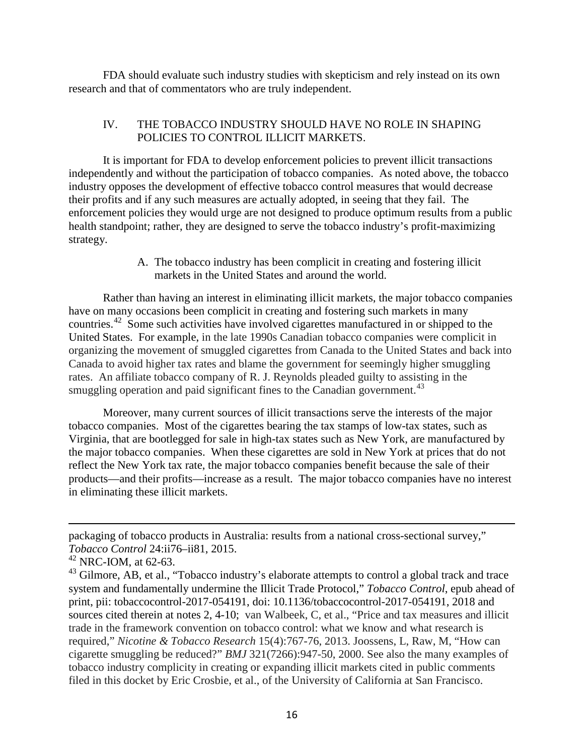FDA should evaluate such industry studies with skepticism and rely instead on its own research and that of commentators who are truly independent.

## IV. THE TOBACCO INDUSTRY SHOULD HAVE NO ROLE IN SHAPING POLICIES TO CONTROL ILLICIT MARKETS.

It is important for FDA to develop enforcement policies to prevent illicit transactions independently and without the participation of tobacco companies. As noted above, the tobacco industry opposes the development of effective tobacco control measures that would decrease their profits and if any such measures are actually adopted, in seeing that they fail. The enforcement policies they would urge are not designed to produce optimum results from a public health standpoint; rather, they are designed to serve the tobacco industry's profit-maximizing strategy.

> A. The tobacco industry has been complicit in creating and fostering illicit markets in the United States and around the world.

Rather than having an interest in eliminating illicit markets, the major tobacco companies have on many occasions been complicit in creating and fostering such markets in many countries.<sup>42</sup> Some such activities have involved cigarettes manufactured in or shipped to the United States. For example, in the late 1990s Canadian tobacco companies were complicit in organizing the movement of smuggled cigarettes from Canada to the United States and back into Canada to avoid higher tax rates and blame the government for seemingly higher smuggling rates. An affiliate tobacco company of R. J. Reynolds pleaded guilty to assisting in the smuggling operation and paid significant fines to the Canadian government.<sup>[43](#page-15-1)</sup>

Moreover, many current sources of illicit transactions serve the interests of the major tobacco companies. Most of the cigarettes bearing the tax stamps of low-tax states, such as Virginia, that are bootlegged for sale in high-tax states such as New York, are manufactured by the major tobacco companies. When these cigarettes are sold in New York at prices that do not reflect the New York tax rate, the major tobacco companies benefit because the sale of their products—and their profits—increase as a result. The major tobacco companies have no interest in eliminating these illicit markets.

 $\overline{a}$ 

packaging of tobacco products in Australia: results from a national cross-sectional survey," *Tobacco Control* 24:ii76–ii81, 2015.

<span id="page-15-0"></span> $42$  NRC-IOM, at 62-63.

<span id="page-15-1"></span><sup>&</sup>lt;sup>43</sup> Gilmore, AB, et al., "Tobacco industry's elaborate attempts to control a global track and trace system and fundamentally undermine the Illicit Trade Protocol," *Tobacco Control*, epub ahead of print, pii: tobaccocontrol-2017-054191, doi: 10.1136/tobaccocontrol-2017-054191, 2018 and sources cited therein at notes 2, 4-10; van Walbeek, C, et al., "Price and tax measures and illicit trade in the framework convention on tobacco control: what we know and what research is required," *Nicotine & Tobacco Research* 15(4):767-76, 2013. Joossens, L, Raw, M, "How can cigarette smuggling be reduced?" *BMJ* 321(7266):947-50, 2000. See also the many examples of tobacco industry complicity in creating or expanding illicit markets cited in public comments filed in this docket by Eric Crosbie, et al., of the University of California at San Francisco.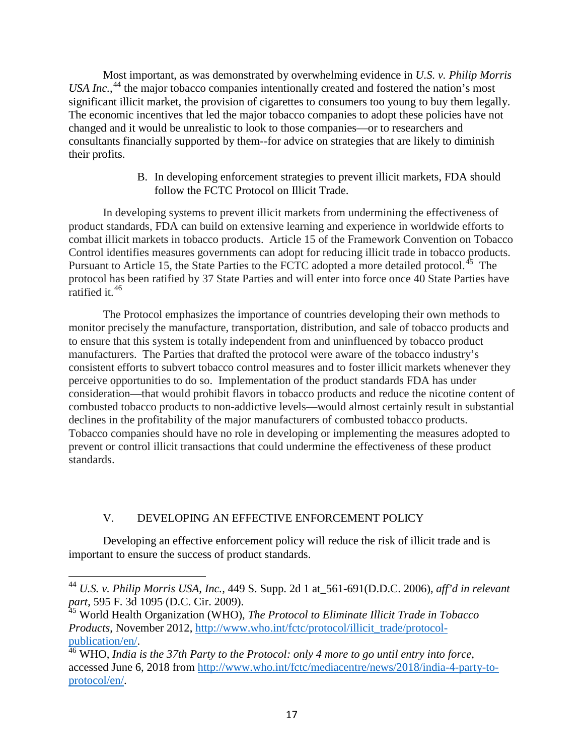Most important, as was demonstrated by overwhelming evidence in *U.S. v. Philip Morris*  USA Inc.,<sup>[44](#page-16-0)</sup> the major tobacco companies intentionally created and fostered the nation's most significant illicit market, the provision of cigarettes to consumers too young to buy them legally. The economic incentives that led the major tobacco companies to adopt these policies have not changed and it would be unrealistic to look to those companies—or to researchers and consultants financially supported by them--for advice on strategies that are likely to diminish their profits.

> B. In developing enforcement strategies to prevent illicit markets, FDA should follow the FCTC Protocol on Illicit Trade.

In developing systems to prevent illicit markets from undermining the effectiveness of product standards, FDA can build on extensive learning and experience in worldwide efforts to combat illicit markets in tobacco products. Article 15 of the Framework Convention on Tobacco Control identifies measures governments can adopt for reducing illicit trade in tobacco products. Pursuant to Article 15, the State Parties to the FCTC adopted a more detailed protocol.<sup>45</sup> The protocol has been ratified by 37 State Parties and will enter into force once 40 State Parties have ratified it.<sup>[46](#page-16-2)</sup>

The Protocol emphasizes the importance of countries developing their own methods to monitor precisely the manufacture, transportation, distribution, and sale of tobacco products and to ensure that this system is totally independent from and uninfluenced by tobacco product manufacturers. The Parties that drafted the protocol were aware of the tobacco industry's consistent efforts to subvert tobacco control measures and to foster illicit markets whenever they perceive opportunities to do so. Implementation of the product standards FDA has under consideration—that would prohibit flavors in tobacco products and reduce the nicotine content of combusted tobacco products to non-addictive levels—would almost certainly result in substantial declines in the profitability of the major manufacturers of combusted tobacco products. Tobacco companies should have no role in developing or implementing the measures adopted to prevent or control illicit transactions that could undermine the effectiveness of these product standards.

# V. DEVELOPING AN EFFECTIVE ENFORCEMENT POLICY

Developing an effective enforcement policy will reduce the risk of illicit trade and is important to ensure the success of product standards.

<span id="page-16-0"></span><sup>44</sup> *U.S. v. Philip Morris USA, Inc.,* 449 S. Supp. 2d 1 at\_561-691(D.D.C. 2006), *aff'd in relevant part*, 595 F. 3d 1095 (D.C. Cir. 2009).

<span id="page-16-1"></span><sup>45</sup> World Health Organization (WHO), *The Protocol to Eliminate Illicit Trade in Tobacco Products*, November 2012, http://www.who.int/fctc/protocol/illicit\_trade/protocol-<br>publication/en/.

<span id="page-16-2"></span><sup>&</sup>lt;sup>46</sup> WHO, *India is the 37th Party to the Protocol: only 4 more to go until entry into force*, accessed June 6, 2018 from [http://www.who.int/fctc/mediacentre/news/2018/india-4-party-to](http://www.who.int/fctc/mediacentre/news/2018/india-4-party-to-protocol/en/)[protocol/en/.](http://www.who.int/fctc/mediacentre/news/2018/india-4-party-to-protocol/en/)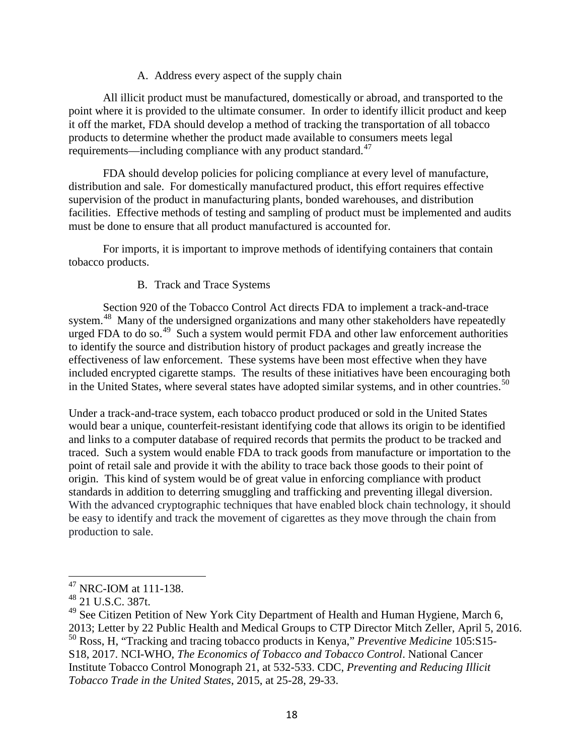## A. Address every aspect of the supply chain

All illicit product must be manufactured, domestically or abroad, and transported to the point where it is provided to the ultimate consumer. In order to identify illicit product and keep it off the market, FDA should develop a method of tracking the transportation of all tobacco products to determine whether the product made available to consumers meets legal requirements—including compliance with any product standard. $47$ 

FDA should develop policies for policing compliance at every level of manufacture, distribution and sale. For domestically manufactured product, this effort requires effective supervision of the product in manufacturing plants, bonded warehouses, and distribution facilities. Effective methods of testing and sampling of product must be implemented and audits must be done to ensure that all product manufactured is accounted for.

For imports, it is important to improve methods of identifying containers that contain tobacco products.

### B. Track and Trace Systems

Section 920 of the Tobacco Control Act directs FDA to implement a track-and-trace system.<sup>[48](#page-17-1)</sup> Many of the undersigned organizations and many other stakeholders have repeatedly urged FDA to do so.<sup>[49](#page-17-2)</sup> Such a system would permit FDA and other law enforcement authorities to identify the source and distribution history of product packages and greatly increase the effectiveness of law enforcement. These systems have been most effective when they have included encrypted cigarette stamps. The results of these initiatives have been encouraging both in the United States, where several states have adopted similar systems, and in other countries.<sup>[50](#page-17-3)</sup>

Under a track-and-trace system, each tobacco product produced or sold in the United States would bear a unique, counterfeit-resistant identifying code that allows its origin to be identified and links to a computer database of required records that permits the product to be tracked and traced. Such a system would enable FDA to track goods from manufacture or importation to the point of retail sale and provide it with the ability to trace back those goods to their point of origin. This kind of system would be of great value in enforcing compliance with product standards in addition to deterring smuggling and trafficking and preventing illegal diversion. With the advanced cryptographic techniques that have enabled block chain technology, it should be easy to identify and track the movement of cigarettes as they move through the chain from production to sale.

<span id="page-17-0"></span><sup>47</sup> NRC-IOM at 111-138.

<span id="page-17-1"></span><sup>48</sup> 21 U.S.C. 387t.

<span id="page-17-3"></span><span id="page-17-2"></span> $49$  See Citizen Petition of New York City Department of Health and Human Hygiene, March 6, 2013; Letter by 22 Public Health and Medical Groups to CTP Director Mitch Zeller, April 5, 2016. <sup>50</sup> Ross, H, "Tracking and tracing tobacco products in Kenya," *Preventive Medicine* 105:S15- S18, 2017. NCI-WHO, *The Economics of Tobacco and Tobacco Control*. National Cancer Institute Tobacco Control Monograph 21, at 532-533. CDC, *Preventing and Reducing Illicit Tobacco Trade in the United States*, 2015, at 25-28, 29-33.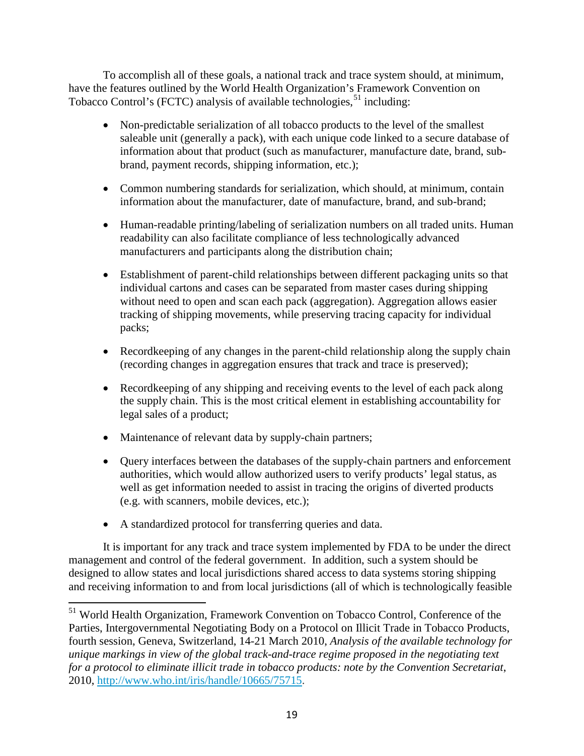To accomplish all of these goals, a national track and trace system should, at minimum, have the features outlined by the World Health Organization's Framework Convention on Tobacco Control's (FCTC) analysis of available technologies,  $51$  including:

- Non-predictable serialization of all tobacco products to the level of the smallest saleable unit (generally a pack), with each unique code linked to a secure database of information about that product (such as manufacturer, manufacture date, brand, subbrand, payment records, shipping information, etc.);
- Common numbering standards for serialization, which should, at minimum, contain information about the manufacturer, date of manufacture, brand, and sub-brand;
- Human-readable printing/labeling of serialization numbers on all traded units. Human readability can also facilitate compliance of less technologically advanced manufacturers and participants along the distribution chain;
- Establishment of parent-child relationships between different packaging units so that individual cartons and cases can be separated from master cases during shipping without need to open and scan each pack (aggregation). Aggregation allows easier tracking of shipping movements, while preserving tracing capacity for individual packs;
- Record keeping of any changes in the parent-child relationship along the supply chain (recording changes in aggregation ensures that track and trace is preserved);
- Record keeping of any shipping and receiving events to the level of each pack along the supply chain. This is the most critical element in establishing accountability for legal sales of a product;
- Maintenance of relevant data by supply-chain partners;
- Query interfaces between the databases of the supply-chain partners and enforcement authorities, which would allow authorized users to verify products' legal status, as well as get information needed to assist in tracing the origins of diverted products (e.g. with scanners, mobile devices, etc.);
- A standardized protocol for transferring queries and data.

It is important for any track and trace system implemented by FDA to be under the direct management and control of the federal government. In addition, such a system should be designed to allow states and local jurisdictions shared access to data systems storing shipping and receiving information to and from local jurisdictions (all of which is technologically feasible

<span id="page-18-0"></span><sup>&</sup>lt;sup>51</sup> World Health Organization, Framework Convention on Tobacco Control, Conference of the Parties, Intergovernmental Negotiating Body on a Protocol on Illicit Trade in Tobacco Products, fourth session, Geneva, Switzerland, 14-21 March 2010, *Analysis of the available technology for unique markings in view of the global track-and-trace regime proposed in the negotiating text for a protocol to eliminate illicit trade in tobacco products: note by the Convention Secretariat*, 2010, [http://www.who.int/iris/handle/10665/75715.](http://www.who.int/iris/handle/10665/75715)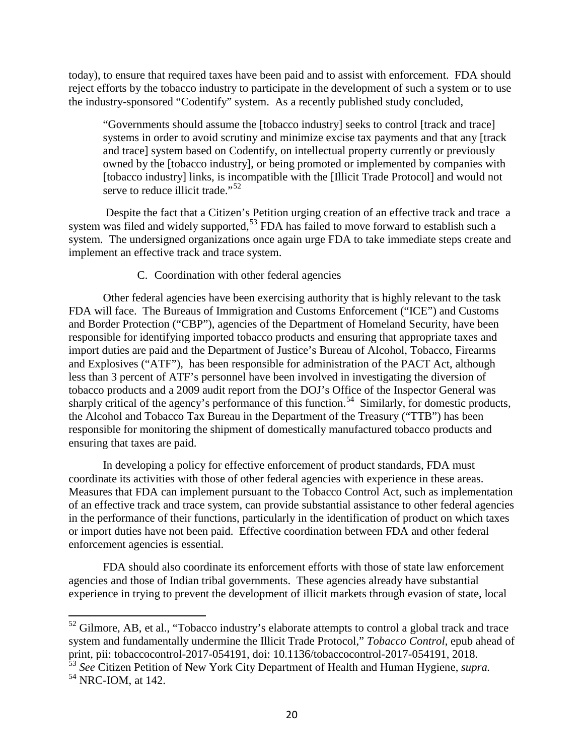today), to ensure that required taxes have been paid and to assist with enforcement. FDA should reject efforts by the tobacco industry to participate in the development of such a system or to use the industry-sponsored "Codentify" system. As a recently published study concluded,

"Governments should assume the [tobacco industry] seeks to control [track and trace] systems in order to avoid scrutiny and minimize excise tax payments and that any [track and trace] system based on Codentify, on intellectual property currently or previously owned by the [tobacco industry], or being promoted or implemented by companies with [tobacco industry] links, is incompatible with the [Illicit Trade Protocol] and would not serve to reduce illicit trade."<sup>[52](#page-19-0)</sup>

Despite the fact that a Citizen's Petition urging creation of an effective track and trace a system was filed and widely supported,<sup>[53](#page-19-1)</sup> FDA has failed to move forward to establish such a system. The undersigned organizations once again urge FDA to take immediate steps create and implement an effective track and trace system.

### C. Coordination with other federal agencies

Other federal agencies have been exercising authority that is highly relevant to the task FDA will face. The Bureaus of Immigration and Customs Enforcement ("ICE") and Customs and Border Protection ("CBP"), agencies of the Department of Homeland Security, have been responsible for identifying imported tobacco products and ensuring that appropriate taxes and import duties are paid and the Department of Justice's Bureau of Alcohol, Tobacco, Firearms and Explosives ("ATF"), has been responsible for administration of the PACT Act, although less than 3 percent of ATF's personnel have been involved in investigating the diversion of tobacco products and a 2009 audit report from the DOJ's Office of the Inspector General was sharply critical of the agency's performance of this function.<sup>[54](#page-19-2)</sup> Similarly, for domestic products, the Alcohol and Tobacco Tax Bureau in the Department of the Treasury ("TTB") has been responsible for monitoring the shipment of domestically manufactured tobacco products and ensuring that taxes are paid.

In developing a policy for effective enforcement of product standards, FDA must coordinate its activities with those of other federal agencies with experience in these areas. Measures that FDA can implement pursuant to the Tobacco Control Act, such as implementation of an effective track and trace system, can provide substantial assistance to other federal agencies in the performance of their functions, particularly in the identification of product on which taxes or import duties have not been paid. Effective coordination between FDA and other federal enforcement agencies is essential.

FDA should also coordinate its enforcement efforts with those of state law enforcement agencies and those of Indian tribal governments. These agencies already have substantial experience in trying to prevent the development of illicit markets through evasion of state, local

<span id="page-19-0"></span><sup>&</sup>lt;sup>52</sup> Gilmore, AB, et al., "Tobacco industry's elaborate attempts to control a global track and trace system and fundamentally undermine the Illicit Trade Protocol," *Tobacco Control*, epub ahead of print, pii: tobaccocontrol-2017-054191, doi: 10.1136/tobaccocontrol-2017-054191, 2018. <sup>53</sup> *See* Citizen Petition of New York City Department of Health and Human Hygiene, *supra.*

<span id="page-19-2"></span><span id="page-19-1"></span><sup>&</sup>lt;sup>54</sup> NRC-IOM, at 142.